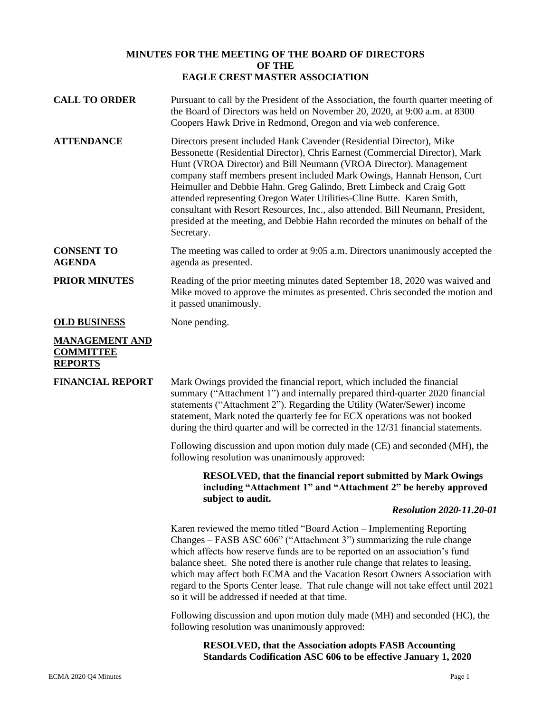## **MINUTES FOR THE MEETING OF THE BOARD OF DIRECTORS OF THE EAGLE CREST MASTER ASSOCIATION**

| <b>CALL TO ORDER</b>                                        | Pursuant to call by the President of the Association, the fourth quarter meeting of<br>the Board of Directors was held on November 20, 2020, at 9:00 a.m. at 8300<br>Coopers Hawk Drive in Redmond, Oregon and via web conference.                                                                                                                                                                                                                                                                                                                                                                                                          |
|-------------------------------------------------------------|---------------------------------------------------------------------------------------------------------------------------------------------------------------------------------------------------------------------------------------------------------------------------------------------------------------------------------------------------------------------------------------------------------------------------------------------------------------------------------------------------------------------------------------------------------------------------------------------------------------------------------------------|
| <b>ATTENDANCE</b>                                           | Directors present included Hank Cavender (Residential Director), Mike<br>Bessonette (Residential Director), Chris Earnest (Commercial Director), Mark<br>Hunt (VROA Director) and Bill Neumann (VROA Director). Management<br>company staff members present included Mark Owings, Hannah Henson, Curt<br>Heimuller and Debbie Hahn. Greg Galindo, Brett Limbeck and Craig Gott<br>attended representing Oregon Water Utilities-Cline Butte. Karen Smith,<br>consultant with Resort Resources, Inc., also attended. Bill Neumann, President,<br>presided at the meeting, and Debbie Hahn recorded the minutes on behalf of the<br>Secretary. |
| <b>CONSENT TO</b><br><b>AGENDA</b>                          | The meeting was called to order at 9:05 a.m. Directors unanimously accepted the<br>agenda as presented.                                                                                                                                                                                                                                                                                                                                                                                                                                                                                                                                     |
| <b>PRIOR MINUTES</b>                                        | Reading of the prior meeting minutes dated September 18, 2020 was waived and<br>Mike moved to approve the minutes as presented. Chris seconded the motion and<br>it passed unanimously.                                                                                                                                                                                                                                                                                                                                                                                                                                                     |
| <b>OLD BUSINESS</b>                                         | None pending.                                                                                                                                                                                                                                                                                                                                                                                                                                                                                                                                                                                                                               |
| <b>MANAGEMENT AND</b><br><b>COMMITTEE</b><br><b>REPORTS</b> |                                                                                                                                                                                                                                                                                                                                                                                                                                                                                                                                                                                                                                             |
| <b>FINANCIAL REPORT</b>                                     | Mark Owings provided the financial report, which included the financial<br>summary ("Attachment 1") and internally prepared third-quarter 2020 financial<br>statements ("Attachment 2"). Regarding the Utility (Water/Sewer) income<br>statement, Mark noted the quarterly fee for ECX operations was not booked<br>during the third quarter and will be corrected in the 12/31 financial statements.                                                                                                                                                                                                                                       |
|                                                             | Following discussion and upon motion duly made (CE) and seconded (MH), the<br>following resolution was unanimously approved:                                                                                                                                                                                                                                                                                                                                                                                                                                                                                                                |
|                                                             | <b>RESOLVED, that the financial report submitted by Mark Owings</b><br>including "Attachment 1" and "Attachment 2" be hereby approved<br>subject to audit.                                                                                                                                                                                                                                                                                                                                                                                                                                                                                  |
|                                                             | <b>Resolution 2020-11.20-01</b>                                                                                                                                                                                                                                                                                                                                                                                                                                                                                                                                                                                                             |
|                                                             | Karen reviewed the memo titled "Board Action – Implementing Reporting<br>Changes – FASB ASC 606" ("Attachment 3") summarizing the rule change<br>which affects how reserve funds are to be reported on an association's fund<br>balance sheet. She noted there is another rule change that relates to leasing,<br>which may affect both ECMA and the Vacation Resort Owners Association with<br>regard to the Sports Center lease. That rule change will not take effect until 2021<br>so it will be addressed if needed at that time.                                                                                                      |
|                                                             | Following discussion and upon motion duly made (MH) and seconded (HC), the<br>following resolution was unanimously approved:                                                                                                                                                                                                                                                                                                                                                                                                                                                                                                                |

**RESOLVED, that the Association adopts FASB Accounting Standards Codification ASC 606 to be effective January 1, 2020**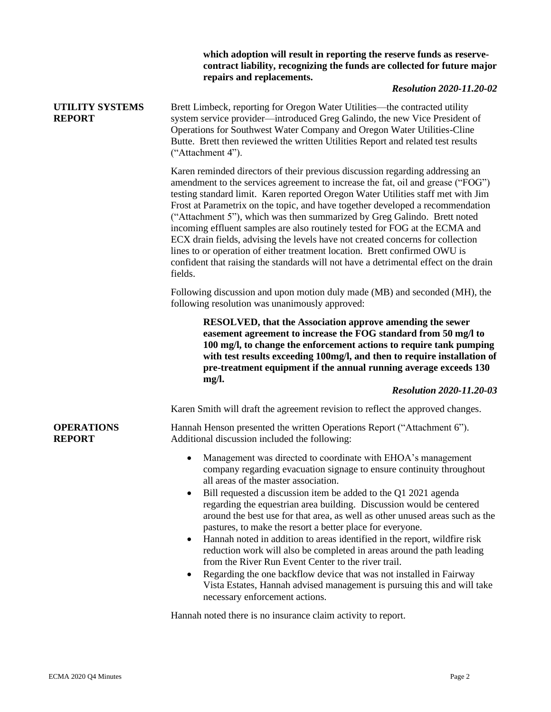|                                         | which adoption will result in reporting the reserve funds as reserve-<br>contract liability, recognizing the funds are collected for future major<br>repairs and replacements.<br><b>Resolution 2020-11.20-02</b>                                                                                                                                                                                                                                                                                                                                                                                                                                                                                                                                                                                                                                                                                                                                    |
|-----------------------------------------|------------------------------------------------------------------------------------------------------------------------------------------------------------------------------------------------------------------------------------------------------------------------------------------------------------------------------------------------------------------------------------------------------------------------------------------------------------------------------------------------------------------------------------------------------------------------------------------------------------------------------------------------------------------------------------------------------------------------------------------------------------------------------------------------------------------------------------------------------------------------------------------------------------------------------------------------------|
| <b>UTILITY SYSTEMS</b><br><b>REPORT</b> | Brett Limbeck, reporting for Oregon Water Utilities—the contracted utility<br>system service provider—introduced Greg Galindo, the new Vice President of<br>Operations for Southwest Water Company and Oregon Water Utilities-Cline<br>Butte. Brett then reviewed the written Utilities Report and related test results<br>("Attachment 4").                                                                                                                                                                                                                                                                                                                                                                                                                                                                                                                                                                                                         |
|                                         | Karen reminded directors of their previous discussion regarding addressing an<br>amendment to the services agreement to increase the fat, oil and grease ("FOG")<br>testing standard limit. Karen reported Oregon Water Utilities staff met with Jim<br>Frost at Parametrix on the topic, and have together developed a recommendation<br>("Attachment 5"), which was then summarized by Greg Galindo. Brett noted<br>incoming effluent samples are also routinely tested for FOG at the ECMA and<br>ECX drain fields, advising the levels have not created concerns for collection<br>lines to or operation of either treatment location. Brett confirmed OWU is<br>confident that raising the standards will not have a detrimental effect on the drain<br>fields.                                                                                                                                                                                 |
|                                         | Following discussion and upon motion duly made (MB) and seconded (MH), the<br>following resolution was unanimously approved:                                                                                                                                                                                                                                                                                                                                                                                                                                                                                                                                                                                                                                                                                                                                                                                                                         |
|                                         | <b>RESOLVED, that the Association approve amending the sewer</b><br>easement agreement to increase the FOG standard from 50 mg/l to<br>100 mg/l, to change the enforcement actions to require tank pumping<br>with test results exceeding 100mg/l, and then to require installation of<br>pre-treatment equipment if the annual running average exceeds 130<br>mg/l.<br><b>Resolution 2020-11.20-03</b>                                                                                                                                                                                                                                                                                                                                                                                                                                                                                                                                              |
|                                         | Karen Smith will draft the agreement revision to reflect the approved changes.                                                                                                                                                                                                                                                                                                                                                                                                                                                                                                                                                                                                                                                                                                                                                                                                                                                                       |
| <b>OPERATIONS</b><br><b>REPORT</b>      | Hannah Henson presented the written Operations Report ("Attachment 6").<br>Additional discussion included the following:                                                                                                                                                                                                                                                                                                                                                                                                                                                                                                                                                                                                                                                                                                                                                                                                                             |
|                                         | Management was directed to coordinate with EHOA's management<br>company regarding evacuation signage to ensure continuity throughout<br>all areas of the master association.<br>Bill requested a discussion item be added to the Q1 2021 agenda<br>$\bullet$<br>regarding the equestrian area building. Discussion would be centered<br>around the best use for that area, as well as other unused areas such as the<br>pastures, to make the resort a better place for everyone.<br>Hannah noted in addition to areas identified in the report, wildfire risk<br>reduction work will also be completed in areas around the path leading<br>from the River Run Event Center to the river trail.<br>Regarding the one backflow device that was not installed in Fairway<br>٠<br>Vista Estates, Hannah advised management is pursuing this and will take<br>necessary enforcement actions.<br>Homak noted them is no insurance alaim settutu to report |

Hannah noted there is no insurance claim activity to report.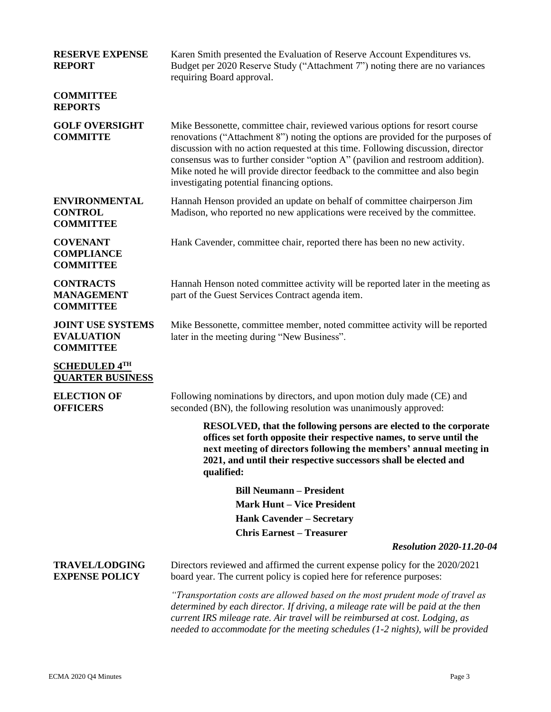| <b>RESERVE EXPENSE</b><br><b>REPORT</b>                           | Karen Smith presented the Evaluation of Reserve Account Expenditures vs.<br>Budget per 2020 Reserve Study ("Attachment 7") noting there are no variances<br>requiring Board approval.                                                                                                                                                                                                                                                                                |
|-------------------------------------------------------------------|----------------------------------------------------------------------------------------------------------------------------------------------------------------------------------------------------------------------------------------------------------------------------------------------------------------------------------------------------------------------------------------------------------------------------------------------------------------------|
| <b>COMMITTEE</b><br><b>REPORTS</b>                                |                                                                                                                                                                                                                                                                                                                                                                                                                                                                      |
| <b>GOLF OVERSIGHT</b><br><b>COMMITTE</b>                          | Mike Bessonette, committee chair, reviewed various options for resort course<br>renovations ("Attachment 8") noting the options are provided for the purposes of<br>discussion with no action requested at this time. Following discussion, director<br>consensus was to further consider "option A" (pavilion and restroom addition).<br>Mike noted he will provide director feedback to the committee and also begin<br>investigating potential financing options. |
| <b>ENVIRONMENTAL</b><br><b>CONTROL</b><br><b>COMMITTEE</b>        | Hannah Henson provided an update on behalf of committee chairperson Jim<br>Madison, who reported no new applications were received by the committee.                                                                                                                                                                                                                                                                                                                 |
| <b>COVENANT</b><br><b>COMPLIANCE</b><br><b>COMMITTEE</b>          | Hank Cavender, committee chair, reported there has been no new activity.                                                                                                                                                                                                                                                                                                                                                                                             |
| <b>CONTRACTS</b><br><b>MANAGEMENT</b><br><b>COMMITTEE</b>         | Hannah Henson noted committee activity will be reported later in the meeting as<br>part of the Guest Services Contract agenda item.                                                                                                                                                                                                                                                                                                                                  |
| <b>JOINT USE SYSTEMS</b><br><b>EVALUATION</b><br><b>COMMITTEE</b> | Mike Bessonette, committee member, noted committee activity will be reported<br>later in the meeting during "New Business".                                                                                                                                                                                                                                                                                                                                          |
| <b>SCHEDULED 4TH</b><br><b>QUARTER BUSINESS</b>                   |                                                                                                                                                                                                                                                                                                                                                                                                                                                                      |
| <b>ELECTION OF</b><br><b>OFFICERS</b>                             | Following nominations by directors, and upon motion duly made (CE) and<br>seconded (BN), the following resolution was unanimously approved:                                                                                                                                                                                                                                                                                                                          |
|                                                                   | RESOLVED, that the following persons are elected to the corporate<br>offices set forth opposite their respective names, to serve until the<br>next meeting of directors following the members' annual meeting in<br>2021, and until their respective successors shall be elected and<br>qualified:                                                                                                                                                                   |
|                                                                   | <b>Bill Neumann – President</b>                                                                                                                                                                                                                                                                                                                                                                                                                                      |
|                                                                   | <b>Mark Hunt – Vice President</b>                                                                                                                                                                                                                                                                                                                                                                                                                                    |
|                                                                   | <b>Hank Cavender – Secretary</b>                                                                                                                                                                                                                                                                                                                                                                                                                                     |
|                                                                   | <b>Chris Earnest - Treasurer</b><br><b>Resolution 2020-11.20-04</b>                                                                                                                                                                                                                                                                                                                                                                                                  |
|                                                                   |                                                                                                                                                                                                                                                                                                                                                                                                                                                                      |
| <b>TRAVEL/LODGING</b><br><b>EXPENSE POLICY</b>                    | Directors reviewed and affirmed the current expense policy for the 2020/2021<br>board year. The current policy is copied here for reference purposes:                                                                                                                                                                                                                                                                                                                |
|                                                                   | "Transportation costs are allowed based on the most prudent mode of travel as<br>determined by each director. If driving, a mileage rate will be paid at the then<br>current IRS mileage rate. Air travel will be reimbursed at cost. Lodging, as<br>needed to accommodate for the meeting schedules (1-2 nights), will be provided                                                                                                                                  |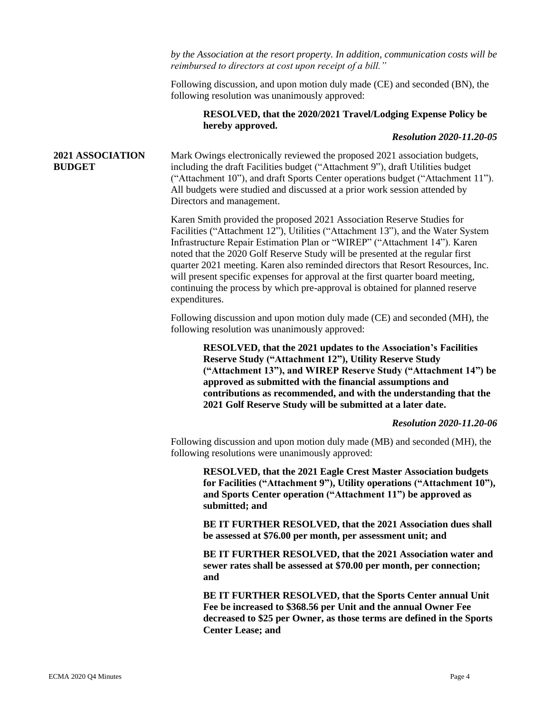*by the Association at the resort property. In addition, communication costs will be reimbursed to directors at cost upon receipt of a bill."* 

Following discussion, and upon motion duly made (CE) and seconded (BN), the following resolution was unanimously approved:

## **RESOLVED, that the 2020/2021 Travel/Lodging Expense Policy be hereby approved.**

## *Resolution 2020-11.20-05*

## **2021 ASSOCIATION BUDGET**

Mark Owings electronically reviewed the proposed 2021 association budgets, including the draft Facilities budget ("Attachment 9"), draft Utilities budget ("Attachment 10"), and draft Sports Center operations budget ("Attachment 11"). All budgets were studied and discussed at a prior work session attended by Directors and management.

Karen Smith provided the proposed 2021 Association Reserve Studies for Facilities ("Attachment 12"), Utilities ("Attachment 13"), and the Water System Infrastructure Repair Estimation Plan or "WIREP" ("Attachment 14"). Karen noted that the 2020 Golf Reserve Study will be presented at the regular first quarter 2021 meeting. Karen also reminded directors that Resort Resources, Inc. will present specific expenses for approval at the first quarter board meeting, continuing the process by which pre-approval is obtained for planned reserve expenditures.

Following discussion and upon motion duly made (CE) and seconded (MH), the following resolution was unanimously approved:

**RESOLVED, that the 2021 updates to the Association's Facilities Reserve Study ("Attachment 12"), Utility Reserve Study ("Attachment 13"), and WIREP Reserve Study ("Attachment 14") be approved as submitted with the financial assumptions and contributions as recommended, and with the understanding that the 2021 Golf Reserve Study will be submitted at a later date.**

*Resolution 2020-11.20-06*

Following discussion and upon motion duly made (MB) and seconded (MH), the following resolutions were unanimously approved:

**RESOLVED, that the 2021 Eagle Crest Master Association budgets for Facilities ("Attachment 9"), Utility operations ("Attachment 10"), and Sports Center operation ("Attachment 11") be approved as submitted; and**

**BE IT FURTHER RESOLVED, that the 2021 Association dues shall be assessed at \$76.00 per month, per assessment unit; and**

**BE IT FURTHER RESOLVED, that the 2021 Association water and sewer rates shall be assessed at \$70.00 per month, per connection; and**

**BE IT FURTHER RESOLVED, that the Sports Center annual Unit Fee be increased to \$368.56 per Unit and the annual Owner Fee decreased to \$25 per Owner, as those terms are defined in the Sports Center Lease; and**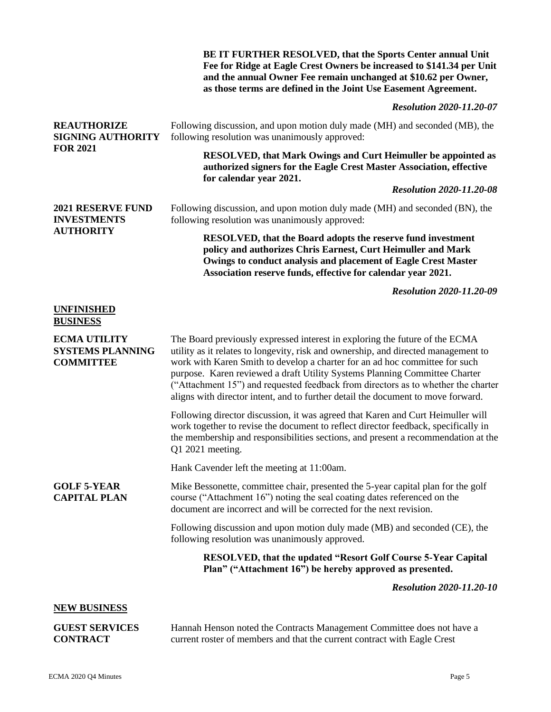|                                                                    | BE IT FURTHER RESOLVED, that the Sports Center annual Unit<br>Fee for Ridge at Eagle Crest Owners be increased to \$141.34 per Unit<br>and the annual Owner Fee remain unchanged at \$10.62 per Owner,<br>as those terms are defined in the Joint Use Easement Agreement.                                                                                                                                                                                                                               |
|--------------------------------------------------------------------|---------------------------------------------------------------------------------------------------------------------------------------------------------------------------------------------------------------------------------------------------------------------------------------------------------------------------------------------------------------------------------------------------------------------------------------------------------------------------------------------------------|
|                                                                    | <b>Resolution 2020-11.20-07</b>                                                                                                                                                                                                                                                                                                                                                                                                                                                                         |
| <b>REAUTHORIZE</b><br><b>SIGNING AUTHORITY</b><br><b>FOR 2021</b>  | Following discussion, and upon motion duly made (MH) and seconded (MB), the<br>following resolution was unanimously approved:                                                                                                                                                                                                                                                                                                                                                                           |
|                                                                    | RESOLVED, that Mark Owings and Curt Heimuller be appointed as<br>authorized signers for the Eagle Crest Master Association, effective<br>for calendar year 2021.                                                                                                                                                                                                                                                                                                                                        |
|                                                                    | <b>Resolution 2020-11.20-08</b>                                                                                                                                                                                                                                                                                                                                                                                                                                                                         |
| <b>2021 RESERVE FUND</b><br><b>INVESTMENTS</b><br><b>AUTHORITY</b> | Following discussion, and upon motion duly made (MH) and seconded (BN), the<br>following resolution was unanimously approved:                                                                                                                                                                                                                                                                                                                                                                           |
|                                                                    | <b>RESOLVED, that the Board adopts the reserve fund investment</b><br>policy and authorizes Chris Earnest, Curt Heimuller and Mark<br>Owings to conduct analysis and placement of Eagle Crest Master<br>Association reserve funds, effective for calendar year 2021.                                                                                                                                                                                                                                    |
|                                                                    | <b>Resolution 2020-11.20-09</b>                                                                                                                                                                                                                                                                                                                                                                                                                                                                         |
| <b>UNFINISHED</b><br><b>BUSINESS</b>                               |                                                                                                                                                                                                                                                                                                                                                                                                                                                                                                         |
| <b>ECMA UTILITY</b><br><b>SYSTEMS PLANNING</b><br><b>COMMITTEE</b> | The Board previously expressed interest in exploring the future of the ECMA<br>utility as it relates to longevity, risk and ownership, and directed management to<br>work with Karen Smith to develop a charter for an ad hoc committee for such<br>purpose. Karen reviewed a draft Utility Systems Planning Committee Charter<br>("Attachment 15") and requested feedback from directors as to whether the charter<br>aligns with director intent, and to further detail the document to move forward. |
|                                                                    | Following director discussion, it was agreed that Karen and Curt Heimuller will<br>work together to revise the document to reflect director feedback, specifically in<br>the membership and responsibilities sections, and present a recommendation at the<br>Q1 2021 meeting.                                                                                                                                                                                                                          |
|                                                                    | Hank Cavender left the meeting at 11:00am.                                                                                                                                                                                                                                                                                                                                                                                                                                                              |
| <b>GOLF 5-YEAR</b><br><b>CAPITAL PLAN</b>                          | Mike Bessonette, committee chair, presented the 5-year capital plan for the golf<br>course ("Attachment 16") noting the seal coating dates referenced on the<br>document are incorrect and will be corrected for the next revision.                                                                                                                                                                                                                                                                     |
|                                                                    | Following discussion and upon motion duly made (MB) and seconded (CE), the<br>following resolution was unanimously approved.                                                                                                                                                                                                                                                                                                                                                                            |
|                                                                    | <b>RESOLVED, that the updated "Resort Golf Course 5-Year Capital</b><br>Plan" ("Attachment 16") be hereby approved as presented.                                                                                                                                                                                                                                                                                                                                                                        |
|                                                                    | <b>Resolution 2020-11.20-10</b>                                                                                                                                                                                                                                                                                                                                                                                                                                                                         |
| <b>NEW BUSINESS</b>                                                |                                                                                                                                                                                                                                                                                                                                                                                                                                                                                                         |
| <b>GUEST SERVICES</b><br><b>CONTRACT</b>                           | Hannah Henson noted the Contracts Management Committee does not have a<br>current roster of members and that the current contract with Eagle Crest                                                                                                                                                                                                                                                                                                                                                      |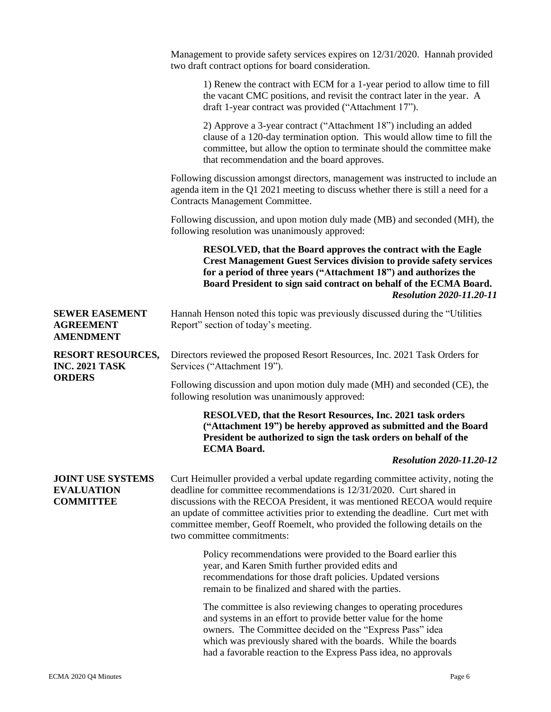|                                                                    | Management to provide safety services expires on 12/31/2020. Hannah provided<br>two draft contract options for board consideration.                                                                                                                                                                                                                                                                                                    |
|--------------------------------------------------------------------|----------------------------------------------------------------------------------------------------------------------------------------------------------------------------------------------------------------------------------------------------------------------------------------------------------------------------------------------------------------------------------------------------------------------------------------|
|                                                                    | 1) Renew the contract with ECM for a 1-year period to allow time to fill<br>the vacant CMC positions, and revisit the contract later in the year. A<br>draft 1-year contract was provided ("Attachment 17").                                                                                                                                                                                                                           |
|                                                                    | 2) Approve a 3-year contract ("Attachment 18") including an added<br>clause of a 120-day termination option. This would allow time to fill the<br>committee, but allow the option to terminate should the committee make<br>that recommendation and the board approves.                                                                                                                                                                |
|                                                                    | Following discussion amongst directors, management was instructed to include an<br>agenda item in the Q1 2021 meeting to discuss whether there is still a need for a<br>Contracts Management Committee.                                                                                                                                                                                                                                |
|                                                                    | Following discussion, and upon motion duly made (MB) and seconded (MH), the<br>following resolution was unanimously approved:                                                                                                                                                                                                                                                                                                          |
|                                                                    | <b>RESOLVED, that the Board approves the contract with the Eagle</b><br><b>Crest Management Guest Services division to provide safety services</b><br>for a period of three years ("Attachment 18") and authorizes the<br>Board President to sign said contract on behalf of the ECMA Board.<br><b>Resolution 2020-11.20-11</b>                                                                                                        |
| <b>SEWER EASEMENT</b><br><b>AGREEMENT</b><br><b>AMENDMENT</b>      | Hannah Henson noted this topic was previously discussed during the "Utilities"<br>Report" section of today's meeting.                                                                                                                                                                                                                                                                                                                  |
| <b>RESORT RESOURCES,</b><br><b>INC. 2021 TASK</b><br><b>ORDERS</b> | Directors reviewed the proposed Resort Resources, Inc. 2021 Task Orders for<br>Services ("Attachment 19").                                                                                                                                                                                                                                                                                                                             |
|                                                                    | Following discussion and upon motion duly made (MH) and seconded (CE), the<br>following resolution was unanimously approved:                                                                                                                                                                                                                                                                                                           |
|                                                                    | RESOLVED, that the Resort Resources, Inc. 2021 task orders<br>("Attachment 19") be hereby approved as submitted and the Board<br>President be authorized to sign the task orders on behalf of the<br><b>ECMA Board.</b>                                                                                                                                                                                                                |
|                                                                    | <b>Resolution 2020-11.20-12</b>                                                                                                                                                                                                                                                                                                                                                                                                        |
| <b>JOINT USE SYSTEMS</b><br><b>EVALUATION</b><br><b>COMMITTEE</b>  | Curt Heimuller provided a verbal update regarding committee activity, noting the<br>deadline for committee recommendations is 12/31/2020. Curt shared in<br>discussions with the RECOA President, it was mentioned RECOA would require<br>an update of committee activities prior to extending the deadline. Curt met with<br>committee member, Geoff Roemelt, who provided the following details on the<br>two committee commitments: |
|                                                                    | Policy recommendations were provided to the Board earlier this<br>year, and Karen Smith further provided edits and<br>recommendations for those draft policies. Updated versions<br>remain to be finalized and shared with the parties.                                                                                                                                                                                                |
|                                                                    | The committee is also reviewing changes to operating procedures<br>and systems in an effort to provide better value for the home<br>owners. The Committee decided on the "Express Pass" idea<br>which was previously shared with the boards. While the boards<br>had a favorable reaction to the Express Pass idea, no approvals                                                                                                       |